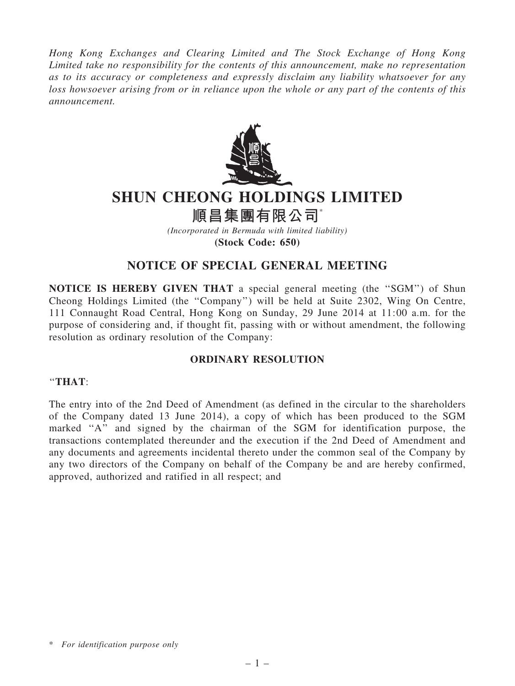Hong Kong Exchanges and Clearing Limited and The Stock Exchange of Hong Kong Limited take no responsibility for the contents of this announcement, make no representation as to its accuracy or completeness and expressly disclaim any liability whatsoever for any loss howsoever arising from or in reliance upon the whole or any part of the contents of this announcement.



# SHUN CHEONG HOLDINGS LIMITED

順昌集團有限公司\*

(Incorporated in Bermuda with limited liability) (Stock Code: 650)

## NOTICE OF SPECIAL GENERAL MEETING

NOTICE IS HEREBY GIVEN THAT a special general meeting (the ''SGM'') of Shun Cheong Holdings Limited (the ''Company'') will be held at Suite 2302, Wing On Centre, 111 Connaught Road Central, Hong Kong on Sunday, 29 June 2014 at 11:00 a.m. for the purpose of considering and, if thought fit, passing with or without amendment, the following resolution as ordinary resolution of the Company:

### ORDINARY RESOLUTION

#### ''THAT:

The entry into of the 2nd Deed of Amendment (as defined in the circular to the shareholders of the Company dated 13 June 2014), a copy of which has been produced to the SGM marked "A" and signed by the chairman of the SGM for identification purpose, the transactions contemplated thereunder and the execution if the 2nd Deed of Amendment and any documents and agreements incidental thereto under the common seal of the Company by any two directors of the Company on behalf of the Company be and are hereby confirmed, approved, authorized and ratified in all respect; and

<sup>\*</sup> For identification purpose only